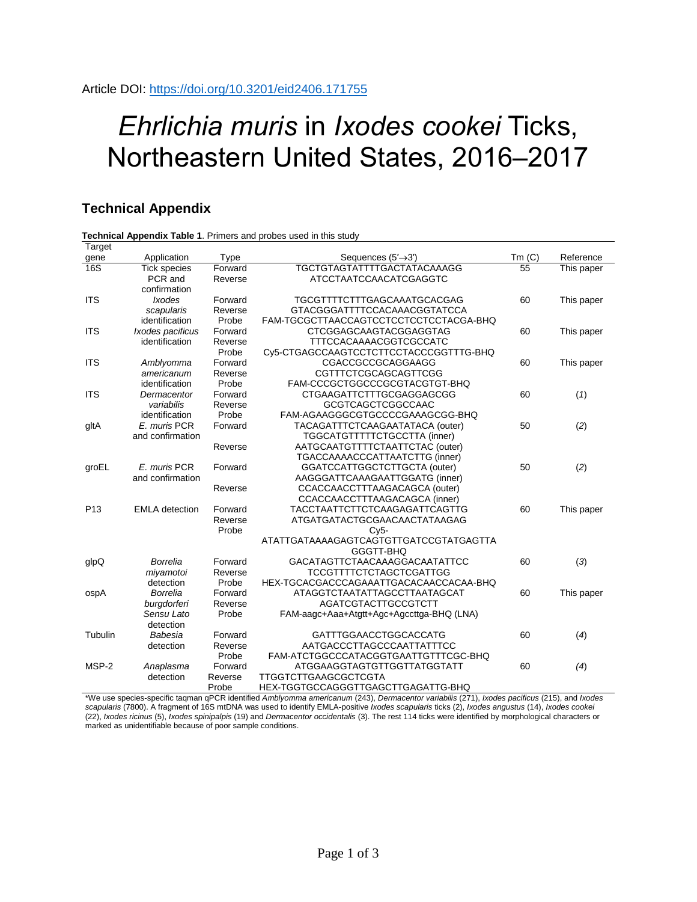# *Ehrlichia muris* in *Ixodes cookei* Ticks, Northeastern United States, 2016–2017

## **Technical Appendix**

#### **Technical Appendix Table 1**. Primers and probes used in this study

| Target          |                                |                              |                                           |       |            |
|-----------------|--------------------------------|------------------------------|-------------------------------------------|-------|------------|
| gene            | Application                    | <b>Type</b>                  | Sequences $(5' \rightarrow 3')$           | Tm(C) | Reference  |
| 16S             | <b>Tick species</b><br>Forward |                              | TGCTGTAGTATTTTGACTATACAAAGG               | 55    | This paper |
|                 | PCR and                        | Reverse                      | ATCCTAATCCAACATCGAGGTC                    |       |            |
|                 | confirmation                   |                              |                                           |       |            |
| <b>ITS</b>      | <i><b>Ixodes</b></i>           | Forward                      | TGCGTTTTCTTTGAGCAAATGCACGAG               | 60    | This paper |
|                 | scapularis                     | Reverse                      | GTACGGGATTTTCCACAAACGGTATCCA              |       |            |
|                 | identification                 | Probe                        | FAM-TGCGCTTAACCAGTCCTCCTCCTCCTACGA-BHQ    |       |            |
| <b>ITS</b>      | Ixodes pacificus               | Forward                      | CTCGGAGCAAGTACGGAGGTAG                    | 60    | This paper |
|                 | identification                 | Reverse                      | TTTCCACAAAACGGTCGCCATC                    |       |            |
|                 |                                | Probe                        | Cy5-CTGAGCCAAGTCCTCTTCCTACCCGGTTTG-BHQ    |       |            |
| <b>ITS</b>      | Amblyomma                      | CGACCGCCGCAGGAAGG<br>Forward |                                           | 60    | This paper |
|                 | americanum                     | Reverse                      | CGTTTCTCGCAGCAGTTCGG                      |       |            |
|                 | identification                 | Probe                        | FAM-CCCGCTGGCCCGCGTACGTGT-BHQ             |       |            |
| <b>ITS</b>      | Dermacentor                    | Forward                      | <b>CTGAAGATTCTTTGCGAGGAGCGG</b>           | 60    | (1)        |
|                 | variabilis                     | Reverse                      | GCGTCAGCTCGGCCAAC                         |       |            |
|                 | identification                 | Probe                        | FAM-AGAAGGGCGTGCCCCGAAAGCGG-BHQ           |       |            |
| gltA            | E. muris PCR                   | Forward                      | TACAGATTTCTCAAGAATATACA (outer)           | 50    | (2)        |
|                 | and confirmation               |                              | TGGCATGTTTTTCTGCCTTA (inner)              |       |            |
|                 |                                | Reverse                      | AATGCAATGTTTTCTAATTCTAC (outer)           |       |            |
|                 |                                |                              | TGACCAAAACCCATTAATCTTG (inner)            |       |            |
| groEL           | E. muris PCR                   | Forward                      | GGATCCATTGGCTCTTGCTA (outer)              | 50    | (2)        |
|                 | and confirmation               |                              | AAGGGATTCAAAGAATTGGATG (inner)            |       |            |
|                 |                                | Reverse                      | CCACCAACCTTTAAGACAGCA (outer)             |       |            |
|                 |                                |                              | CCACCAACCTTTAAGACAGCA (inner)             |       |            |
| P <sub>13</sub> | <b>EMLA</b> detection          | Forward                      | <b>TACCTAATTCTTCTCAAGAGATTCAGTTG</b>      | 60    | This paper |
|                 |                                | Reverse                      | ATGATGATACTGCGAACAACTATAAGAG              |       |            |
|                 |                                | Probe                        | $Cy5-$                                    |       |            |
|                 |                                |                              | ATATTGATAAAAGAGTCAGTGTTGATCCGTATGAGTTA    |       |            |
|                 |                                |                              | GGGTT-BHQ                                 |       |            |
| glpQ            | <b>Borrelia</b>                | Forward                      | GACATAGTTCTAACAAAGGACAATATTCC             | 60    | (3)        |
|                 | miyamotoi                      | Reverse                      | <b>TCCGTTTTCTCTAGCTCGATTGG</b>            |       |            |
|                 | detection                      | Probe                        | HEX-TGCACGACCCAGAAATTGACACAACCACAA-BHQ    |       |            |
| ospA            | <b>Borrelia</b>                | Forward                      | ATAGGTCTAATATTAGCCTTAATAGCAT              | 60    | This paper |
|                 | burgdorferi                    | Reverse                      | AGATCGTACTTGCCGTCTT                       |       |            |
|                 | Sensu Lato                     | Probe                        | FAM-aagc+Aaa+Atgtt+Agc+Agccttga-BHQ (LNA) |       |            |
|                 | detection                      |                              |                                           |       |            |
| Tubulin         | Babesia                        | Forward                      | GATTTGGAACCTGGCACCATG                     | 60    | (4)        |
|                 | detection                      | Reverse                      | AATGACCCTTAGCCCAATTATTTCC                 |       |            |
|                 |                                | Probe                        | FAM-ATCTGGCCCATACGGTGAATTGTTTCGC-BHQ      |       |            |
| MSP-2           | Anaplasma                      | Forward                      | ATGGAAGGTAGTGTTGGTTATGGTATT               | 60    | (4)        |
|                 | detection                      | Reverse                      | TTGGTCTTGAAGCGCTCGTA                      |       |            |
|                 |                                | Probe                        | HEX-TGGTGCCAGGGTTGAGCTTGAGATTG-BHQ        |       |            |

\*We use species-specific taqman qPCR identified *Amblyomma americanum* (243), *Dermacentor variabilis* (271), *Ixodes pacificus* (215), and *Ixodes scapularis* (7800). A fragment of 16S mtDNA was used to identify EMLA-positive *Ixodes scapularis* ticks (2), *Ixodes angustus* (14), *Ixodes cookei* (22), *Ixodes ricinus* (5), *Ixodes spinipalpis* (19) and *Dermacentor occidentalis* (3). The rest 114 ticks were identified by morphological characters or marked as unidentifiable because of poor sample conditions.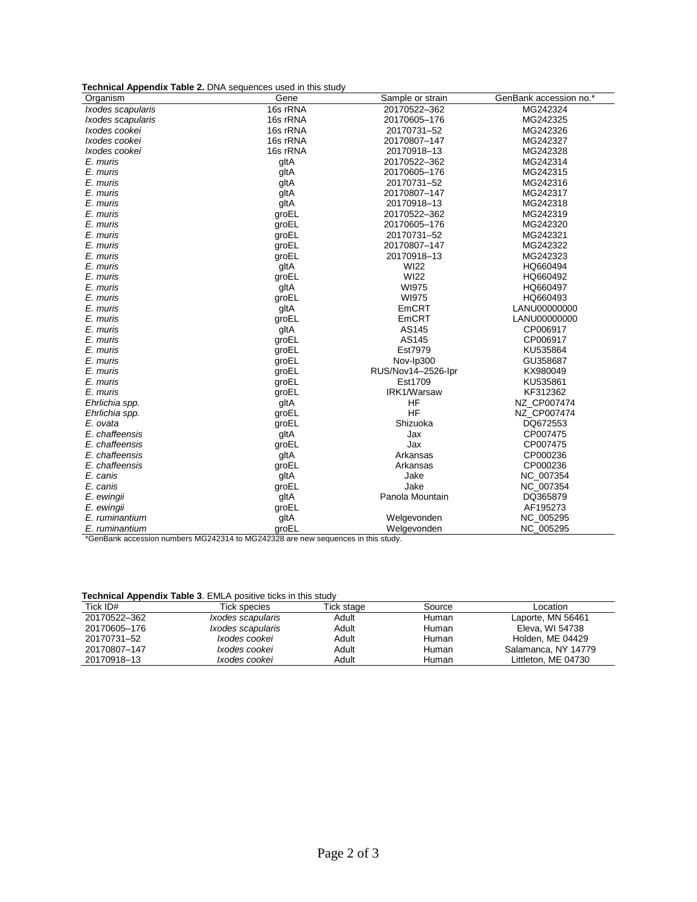**Technical Appendix Table 2.** DNA sequences used in this study

| -----<br>Organism | Gene     | Sample or strain   | GenBank accession no.* |
|-------------------|----------|--------------------|------------------------|
| Ixodes scapularis | 16s rRNA | 20170522-362       | MG242324               |
| Ixodes scapularis | 16s rRNA | 20170605-176       | MG242325               |
| Ixodes cookei     | 16s rRNA | 20170731-52        | MG242326               |
| Ixodes cookei     | 16s rRNA | 20170807-147       | MG242327               |
| Ixodes cookei     | 16s rRNA | 20170918-13        | MG242328               |
| E. muris          | gltA     | 20170522-362       | MG242314               |
| E. muris          | gltA     | 20170605-176       | MG242315               |
| E. muris          | gltA     | 20170731-52        | MG242316               |
| E. muris          | gltA     | 20170807-147       | MG242317               |
| E. muris          | gltA     | 20170918-13        | MG242318               |
| E. muris          | groEL    | 20170522-362       | MG242319               |
| E. muris          | groEL    | 20170605-176       | MG242320               |
| E. muris          | groEL    | 20170731-52        | MG242321               |
| E. muris          | groEL    | 20170807-147       | MG242322               |
| E. muris          | groEL    | 20170918-13        | MG242323               |
| E. muris          | gltA     | <b>WI22</b>        | HQ660494               |
| E. muris          | groEL    | <b>WI22</b>        | HQ660492               |
| E. muris          | gltA     | <b>WI975</b>       | HQ660497               |
| E. muris          | groEL    | <b>WI975</b>       | HQ660493               |
| E. muris          | gltA     | EmCRT              | LANU00000000           |
| E. muris          | groEL    | EmCRT              | LANU00000000           |
| E. muris          | gltA     | AS145              | CP006917               |
| E. muris          | groEL    | AS145              | CP006917               |
| E. muris          | groEL    | Est7979            | KU535864               |
| E. muris          | groEL    | Nov-Ip300          | GU358687               |
| E. muris          | groEL    | RUS/Nov14-2526-Ipr | KX980049               |
| E. muris          | groEL    | Est1709            | KU535861               |
| E. muris          | groEL    | IRK1/Warsaw        | KF312362               |
| Ehrlichia spp.    | gltA     | <b>HF</b>          | NZ CP007474            |
| Ehrlichia spp.    | groEL    | <b>HF</b>          | NZ CP007474            |
| E. ovata          | groEL    | Shizuoka           | DQ672553               |
| E. chaffeensis    | gltA     | Jax                | CP007475               |
| E. chaffeensis    | groEL    | Jax                | CP007475               |
| E. chaffeensis    | gltA     | Arkansas           | CP000236               |
| E. chaffeensis    | groEL    | Arkansas           | CP000236               |
| E. canis          | gltA     | Jake               | NC_007354              |
| E. canis          | groEL    | Jake               | NC_007354              |
| E. ewingii        | gltA     | Panola Mountain    | DQ365879               |
| E. ewingii        | groEL    |                    | AF195273               |
| E. ruminantium    | gltA     | Welgevonden        | NC_005295              |
| E. ruminantium    | groEL    | Welgevonden        | NC_005295              |

\*GenBank accession numbers MG242314 to MG242328 are new sequences in this study.

#### **Technical Appendix Table 3**. EMLA positive ticks in this study

| ___          |                                 |            |        |                         |
|--------------|---------------------------------|------------|--------|-------------------------|
| Tick ID#     | Tick species                    | Tick stage | Source | ∟ocation                |
| 20170522-362 | <i>Ixodes scapularis</i>        | Adult      | Human  | Laporte, MN 56461       |
| 20170605-176 | <i><b>Ixodes scapularis</b></i> | Adult      | Human  | Eleva, WI 54738         |
| 20170731-52  | Ixodes cookei                   | Adult      | Human  | <b>Holden, ME 04429</b> |
| 20170807-147 | Ixodes cookei                   | Adult      | Human  | Salamanca, NY 14779     |
| 20170918-13  | Ixodes cookei                   | Adult      | Human  | Littleton, ME 04730     |